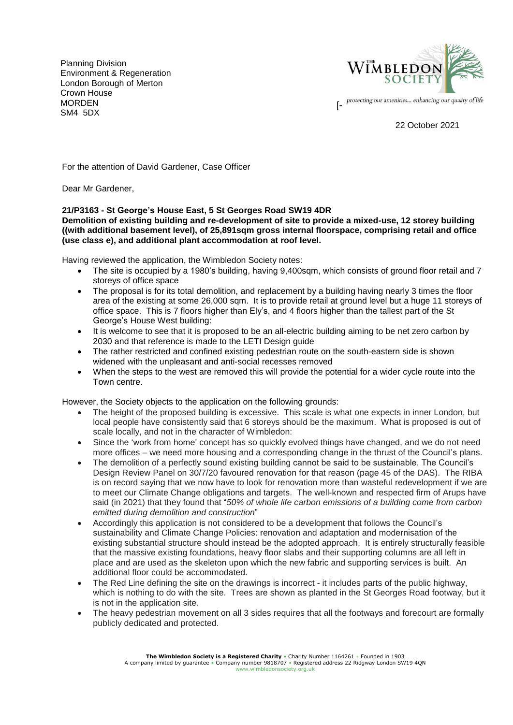Planning Division Environment & Regeneration London Borough of Merton Crown House **MORDEN** SM4 5DX



protecting our amenities... enhancing our quality of life

22 October 2021

For the attention of David Gardener, Case Officer

Dear Mr Gardener,

## **21/P3163 - St George's House East, 5 St Georges Road SW19 4DR**

## **Demolition of existing building and re-development of site to provide a mixed-use, 12 storey building ((with additional basement level), of 25,891sqm gross internal floorspace, comprising retail and office (use class e), and additional plant accommodation at roof level.**

Having reviewed the application, the Wimbledon Society notes:

- The site is occupied by a 1980's building, having 9,400sqm, which consists of ground floor retail and 7 storeys of office space
- The proposal is for its total demolition, and replacement by a building having nearly 3 times the floor area of the existing at some 26,000 sqm. It is to provide retail at ground level but a huge 11 storeys of office space. This is 7 floors higher than Ely's, and 4 floors higher than the tallest part of the St George's House West building:
- It is welcome to see that it is proposed to be an all-electric building aiming to be net zero carbon by 2030 and that reference is made to the LETI Design guide
- The rather restricted and confined existing pedestrian route on the south-eastern side is shown widened with the unpleasant and anti-social recesses removed
- When the steps to the west are removed this will provide the potential for a wider cycle route into the Town centre.

However, the Society objects to the application on the following grounds:

- The height of the proposed building is excessive. This scale is what one expects in inner London, but local people have consistently said that 6 storeys should be the maximum. What is proposed is out of scale locally, and not in the character of Wimbledon:
- Since the 'work from home' concept has so quickly evolved things have changed, and we do not need more offices – we need more housing and a corresponding change in the thrust of the Council's plans.
- The demolition of a perfectly sound existing building cannot be said to be sustainable. The Council's Design Review Panel on 30/7/20 favoured renovation for that reason (page 45 of the DAS). The RIBA is on record saying that we now have to look for renovation more than wasteful redevelopment if we are to meet our Climate Change obligations and targets. The well-known and respected firm of Arups have said (in 2021) that they found that "*50% of whole life carbon emissions of a building come from carbon emitted during demolition and construction*"
- Accordingly this application is not considered to be a development that follows the Council's sustainability and Climate Change Policies: renovation and adaptation and modernisation of the existing substantial structure should instead be the adopted approach. It is entirely structurally feasible that the massive existing foundations, heavy floor slabs and their supporting columns are all left in place and are used as the skeleton upon which the new fabric and supporting services is built. An additional floor could be accommodated.
- The Red Line defining the site on the drawings is incorrect it includes parts of the public highway, which is nothing to do with the site. Trees are shown as planted in the St Georges Road footway, but it is not in the application site.
- The heavy pedestrian movement on all 3 sides requires that all the footways and forecourt are formally publicly dedicated and protected.